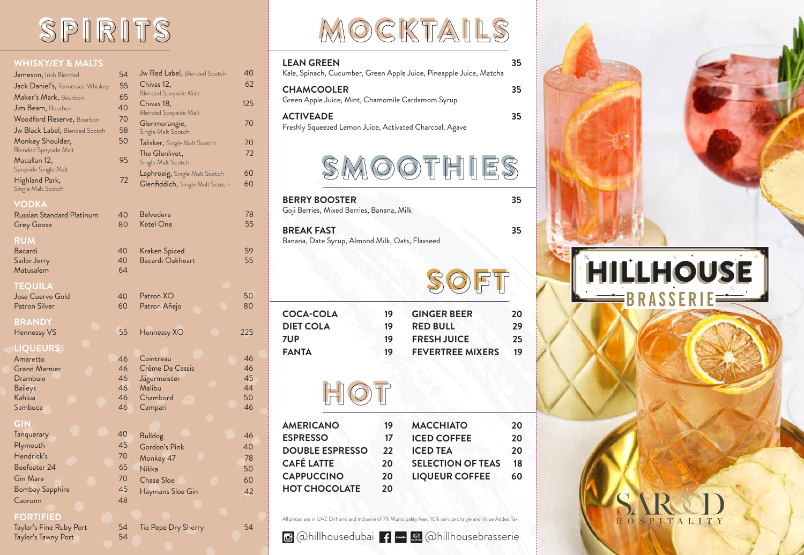## SPIRITS

#### **WHISKY/EY & MALTS**

| Jameson, Irish Blended               | 54 | Jw Red Label, Blended Scotch        | 40  |
|--------------------------------------|----|-------------------------------------|-----|
| Jack Daniel's, Tennessee Whiskey     | 55 | Chivas 12,                          | 62  |
| Maker's Mark, Bourbon                | 65 | <b>Blended Speyside Malt</b>        |     |
| Jim Beam, Bourbon                    | 40 | Chivas 18,                          | 125 |
| <b>Woodford Reserve, Bourbon</b>     | 70 | <b>Blended Speyside Malt</b>        | 70  |
| Jw Black Label, Blended Scotch       | 58 | Glenmorangie,<br>Single Malt Scotch |     |
| Monkey Shoulder,                     | 50 | Talisker, Single Malt Scotch        | 70  |
| <b>Blended Speyside Malt</b>         |    | The Glenlivet,                      | 72  |
| Macallan 12,                         | 95 | Single Malt Scotch                  |     |
| Speyside Single Malt                 |    | Laphroaig, Single Malt Scotch       | 60  |
| Highland Park,<br>Single Malt Scotch | 72 | Glenfiddich, Single Malt Scotch     | 60  |
| <b>VODKA</b>                         |    |                                     |     |
| Russian Standard Platinum            | 40 | <b>Belvedere</b>                    | 78  |
| <b>Grey Goose</b>                    | 80 | <b>Ketel One</b>                    | 55  |
|                                      |    |                                     |     |

Bacardi 40<br>Sailor Jerry 10 40 Sailor Jerry Matusalem 64

Jose Cuervo Gold 40 Patron Silver 60

## **BRANDY**

### **RUM**

#### **TEQUILA**

## **LIQUEURS**

Amaretto 46 Grand Marnier 16 Drambuie 46 Baileys **46** Kahlua 46 Sambuca 46

## **GIN**

| Tanquerary             | 40 |
|------------------------|----|
| Plymouth               | 45 |
| Hendrick's             | 70 |
| Beefeater 24           | 65 |
| <b>Gin Mare</b>        | 70 |
| <b>Bombay Sapphire</b> | 45 |
| Caorunn                | 48 |
|                        |    |

MOCKTAILS

## **FORTIFIED**

Taylor's Fine Ruby Port 54 Taylor's Tawny Port 54

## 55 Hennessy XO 225 Patron XO 50<br>Patron Añeio 60 Patron Añejo Cointreau 46 Crème De Cassis 46 Jägermeister 45 Malibu 44 Chambord 50 Campari 46 Bulldog 46 Gordon's Pink 40 Monkey 47 22 22 23 23 Nikka 50 Chase Sloe 60 60 Haymans Sloe Gin 42

Kraken Spiced 59<br>Bacardi Oakheart 55

Bacardi Oakheart

Tio Pepe Dry Sherry 54

## SMOOTHIES **BERRY BOOSTER 35** Goji Berries, Mixed Berries, Banana, Milk **LEAN GREEN 35** Kale, Spinach, Cucumber, Green Apple Juice, Pineapple Juice, Matcha **CHAMCOOLER 35** Green Apple Juice, Mint, Chamomile Cardamom Syrup **ACTIVEADE 35** Freshly Squeezed Lemon Juice, Activated Charcoal, Agave

| <b>BREAK FAST</b><br>Banana, Date Syrup, Almond Milk, Oats, Flaxseed |    |                         | 35 |
|----------------------------------------------------------------------|----|-------------------------|----|
|                                                                      |    | ET                      |    |
| <b>COCA-COLA</b>                                                     | 19 | <b>GINGER BEER</b>      | 20 |
| <b>DIET COLA</b>                                                     | 19 | <b>RED BULL</b>         | 29 |
| <b>7UP</b>                                                           | 19 | <b>FRESH JUICE</b>      | 25 |
| <b>FANTA</b>                                                         | 19 | <b>FEVERTREE MIXERS</b> | 19 |

## HOT

| 19 | <b>MACCHIATO</b>         | 20 |
|----|--------------------------|----|
| 17 | <b>ICED COFFEE</b>       | 20 |
| 22 | <b>ICED TEA</b>          | 20 |
| 20 | <b>SELECTION OF TEAS</b> | 18 |
| 20 | <b>LIQUEUR COFFEE</b>    | 60 |
| 20 |                          |    |
|    |                          |    |

@hillhousedubai @hillhousebrasserie

# FIILLHOUSE BRASSERIE



All prices are in UAE Dirhams and inclusive of 7% Municipality fees, 10% service charge and Value Added Tax.